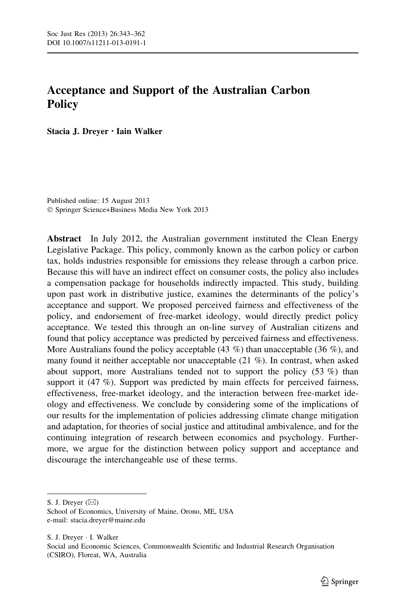# Acceptance and Support of the Australian Carbon **Policy**

Stacia J. Dreyer • Iain Walker

Published online: 15 August 2013 - Springer Science+Business Media New York 2013

Abstract In July 2012, the Australian government instituted the Clean Energy Legislative Package. This policy, commonly known as the carbon policy or carbon tax, holds industries responsible for emissions they release through a carbon price. Because this will have an indirect effect on consumer costs, the policy also includes a compensation package for households indirectly impacted. This study, building upon past work in distributive justice, examines the determinants of the policy's acceptance and support. We proposed perceived fairness and effectiveness of the policy, and endorsement of free-market ideology, would directly predict policy acceptance. We tested this through an on-line survey of Australian citizens and found that policy acceptance was predicted by perceived fairness and effectiveness. More Australians found the policy acceptable  $(43, %)$  than unacceptable  $(36, %)$ , and many found it neither acceptable nor unacceptable (21 %). In contrast, when asked about support, more Australians tended not to support the policy (53 %) than support it (47 %). Support was predicted by main effects for perceived fairness, effectiveness, free-market ideology, and the interaction between free-market ideology and effectiveness. We conclude by considering some of the implications of our results for the implementation of policies addressing climate change mitigation and adaptation, for theories of social justice and attitudinal ambivalence, and for the continuing integration of research between economics and psychology. Furthermore, we argue for the distinction between policy support and acceptance and discourage the interchangeable use of these terms.

S. J. Dreyer - I. Walker Social and Economic Sciences, Commonwealth Scientific and Industrial Research Organisation (CSIRO), Floreat, WA, Australia

S. J. Dreyer  $(\boxtimes)$ 

School of Economics, University of Maine, Orono, ME, USA e-mail: stacia.dreyer@maine.edu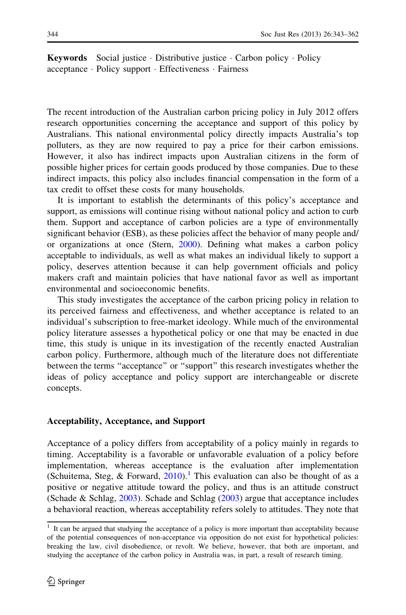Keywords Social justice · Distributive justice · Carbon policy · Policy acceptance - Policy support - Effectiveness - Fairness

The recent introduction of the Australian carbon pricing policy in July 2012 offers research opportunities concerning the acceptance and support of this policy by Australians. This national environmental policy directly impacts Australia's top polluters, as they are now required to pay a price for their carbon emissions. However, it also has indirect impacts upon Australian citizens in the form of possible higher prices for certain goods produced by those companies. Due to these indirect impacts, this policy also includes financial compensation in the form of a tax credit to offset these costs for many households.

It is important to establish the determinants of this policy's acceptance and support, as emissions will continue rising without national policy and action to curb them. Support and acceptance of carbon policies are a type of environmentally significant behavior (ESB), as these policies affect the behavior of many people and/ or organizations at once (Stern, [2000](#page-18-0)). Defining what makes a carbon policy acceptable to individuals, as well as what makes an individual likely to support a policy, deserves attention because it can help government officials and policy makers craft and maintain policies that have national favor as well as important environmental and socioeconomic benefits.

This study investigates the acceptance of the carbon pricing policy in relation to its perceived fairness and effectiveness, and whether acceptance is related to an individual's subscription to free-market ideology. While much of the environmental policy literature assesses a hypothetical policy or one that may be enacted in due time, this study is unique in its investigation of the recently enacted Australian carbon policy. Furthermore, although much of the literature does not differentiate between the terms ''acceptance'' or ''support'' this research investigates whether the ideas of policy acceptance and policy support are interchangeable or discrete concepts.

#### Acceptability, Acceptance, and Support

Acceptance of a policy differs from acceptability of a policy mainly in regards to timing. Acceptability is a favorable or unfavorable evaluation of a policy before implementation, whereas acceptance is the evaluation after implementation (Schuitema, Steg, & Forward, [2010](#page-18-0)).<sup>1</sup> This evaluation can also be thought of as a positive or negative attitude toward the policy, and thus is an attitude construct (Schade & Schlag, [2003\)](#page-18-0). Schade and Schlag [\(2003](#page-18-0)) argue that acceptance includes a behavioral reaction, whereas acceptability refers solely to attitudes. They note that

 $1$  It can be argued that studying the acceptance of a policy is more important than acceptability because of the potential consequences of non-acceptance via opposition do not exist for hypothetical policies: breaking the law, civil disobedience, or revolt. We believe, however, that both are important, and studying the acceptance of the carbon policy in Australia was, in part, a result of research timing.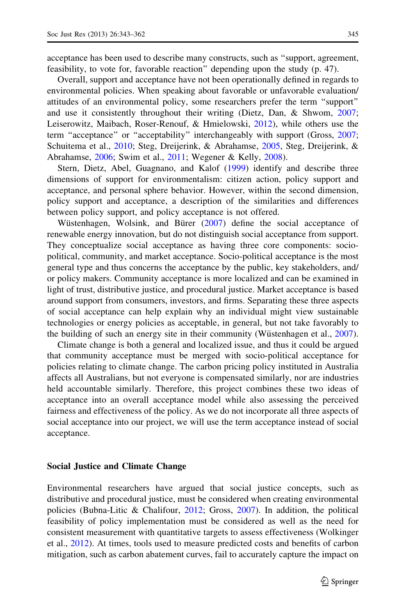acceptance has been used to describe many constructs, such as ''support, agreement, feasibility, to vote for, favorable reaction'' depending upon the study (p. 47).

Overall, support and acceptance have not been operationally defined in regards to environmental policies. When speaking about favorable or unfavorable evaluation/ attitudes of an environmental policy, some researchers prefer the term ''support'' and use it consistently throughout their writing (Dietz, Dan, & Shwom, [2007;](#page-17-0) Leiserowitz, Maibach, Roser-Renouf, & Hmielowski, [2012](#page-18-0)), while others use the term ''acceptance'' or ''acceptability'' interchangeably with support (Gross, [2007;](#page-18-0) Schuitema et al., [2010](#page-18-0); Steg, Dreijerink, & Abrahamse, [2005,](#page-18-0) Steg, Dreijerink, & Abrahamse, [2006](#page-18-0); Swim et al., [2011](#page-18-0); Wegener & Kelly, [2008](#page-19-0)).

Stern, Dietz, Abel, Guagnano, and Kalof [\(1999](#page-18-0)) identify and describe three dimensions of support for environmentalism: citizen action, policy support and acceptance, and personal sphere behavior. However, within the second dimension, policy support and acceptance, a description of the similarities and differences between policy support, and policy acceptance is not offered.

Wüstenhagen, Wolsink, and Bürer [\(2007](#page-19-0)) define the social acceptance of renewable energy innovation, but do not distinguish social acceptance from support. They conceptualize social acceptance as having three core components: sociopolitical, community, and market acceptance. Socio-political acceptance is the most general type and thus concerns the acceptance by the public, key stakeholders, and/ or policy makers. Community acceptance is more localized and can be examined in light of trust, distributive justice, and procedural justice. Market acceptance is based around support from consumers, investors, and firms. Separating these three aspects of social acceptance can help explain why an individual might view sustainable technologies or energy policies as acceptable, in general, but not take favorably to the building of such an energy site in their community (Wüstenhagen et al., [2007\)](#page-19-0).

Climate change is both a general and localized issue, and thus it could be argued that community acceptance must be merged with socio-political acceptance for policies relating to climate change. The carbon pricing policy instituted in Australia affects all Australians, but not everyone is compensated similarly, nor are industries held accountable similarly. Therefore, this project combines these two ideas of acceptance into an overall acceptance model while also assessing the perceived fairness and effectiveness of the policy. As we do not incorporate all three aspects of social acceptance into our project, we will use the term acceptance instead of social acceptance.

#### Social Justice and Climate Change

Environmental researchers have argued that social justice concepts, such as distributive and procedural justice, must be considered when creating environmental policies (Bubna-Litic & Chalifour, [2012;](#page-17-0) Gross, [2007\)](#page-18-0). In addition, the political feasibility of policy implementation must be considered as well as the need for consistent measurement with quantitative targets to assess effectiveness (Wolkinger et al., [2012](#page-19-0)). At times, tools used to measure predicted costs and benefits of carbon mitigation, such as carbon abatement curves, fail to accurately capture the impact on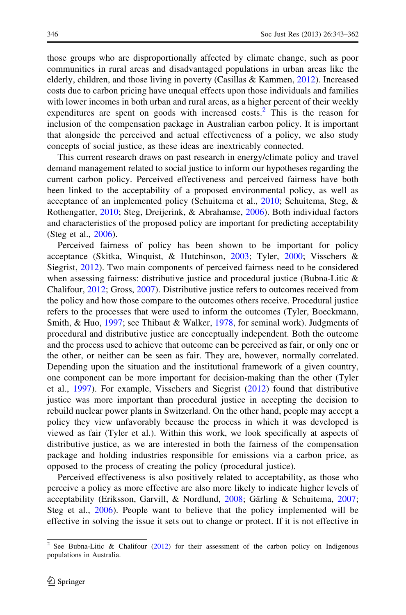those groups who are disproportionally affected by climate change, such as poor communities in rural areas and disadvantaged populations in urban areas like the elderly, children, and those living in poverty (Casillas & Kammen, [2012\)](#page-17-0). Increased costs due to carbon pricing have unequal effects upon those individuals and families with lower incomes in both urban and rural areas, as a higher percent of their weekly expenditures are spent on goods with increased costs.<sup>2</sup> This is the reason for inclusion of the compensation package in Australian carbon policy. It is important that alongside the perceived and actual effectiveness of a policy, we also study concepts of social justice, as these ideas are inextricably connected.

This current research draws on past research in energy/climate policy and travel demand management related to social justice to inform our hypotheses regarding the current carbon policy. Perceived effectiveness and perceived fairness have both been linked to the acceptability of a proposed environmental policy, as well as acceptance of an implemented policy (Schuitema et al., [2010;](#page-18-0) Schuitema, Steg, & Rothengatter, [2010](#page-18-0); Steg, Dreijerink, & Abrahamse, [2006](#page-18-0)). Both individual factors and characteristics of the proposed policy are important for predicting acceptability (Steg et al., [2006\)](#page-18-0).

Perceived fairness of policy has been shown to be important for policy acceptance (Skitka, Winquist, & Hutchinson, [2003;](#page-18-0) Tyler, [2000;](#page-18-0) Visschers & Siegrist, [2012](#page-19-0)). Two main components of perceived fairness need to be considered when assessing fairness: distributive justice and procedural justice (Bubna-Litic  $\&$ Chalifour, [2012](#page-17-0); Gross, [2007](#page-18-0)). Distributive justice refers to outcomes received from the policy and how those compare to the outcomes others receive. Procedural justice refers to the processes that were used to inform the outcomes (Tyler, Boeckmann, Smith, & Huo, [1997;](#page-19-0) see Thibaut & Walker, [1978,](#page-18-0) for seminal work). Judgments of procedural and distributive justice are conceptually independent. Both the outcome and the process used to achieve that outcome can be perceived as fair, or only one or the other, or neither can be seen as fair. They are, however, normally correlated. Depending upon the situation and the institutional framework of a given country, one component can be more important for decision-making than the other (Tyler et al., [1997](#page-19-0)). For example, Visschers and Siegrist [\(2012](#page-19-0)) found that distributive justice was more important than procedural justice in accepting the decision to rebuild nuclear power plants in Switzerland. On the other hand, people may accept a policy they view unfavorably because the process in which it was developed is viewed as fair (Tyler et al.). Within this work, we look specifically at aspects of distributive justice, as we are interested in both the fairness of the compensation package and holding industries responsible for emissions via a carbon price, as opposed to the process of creating the policy (procedural justice).

Perceived effectiveness is also positively related to acceptability, as those who perceive a policy as more effective are also more likely to indicate higher levels of acceptability (Eriksson, Garvill, & Nordlund, [2008](#page-17-0); Gärling & Schuitema,  $2007$ ; Steg et al., [2006](#page-18-0)). People want to believe that the policy implemented will be effective in solving the issue it sets out to change or protect. If it is not effective in

<sup>&</sup>lt;sup>2</sup> See Bubna-Litic & Chalifour [\(2012](#page-17-0)) for their assessment of the carbon policy on Indigenous populations in Australia.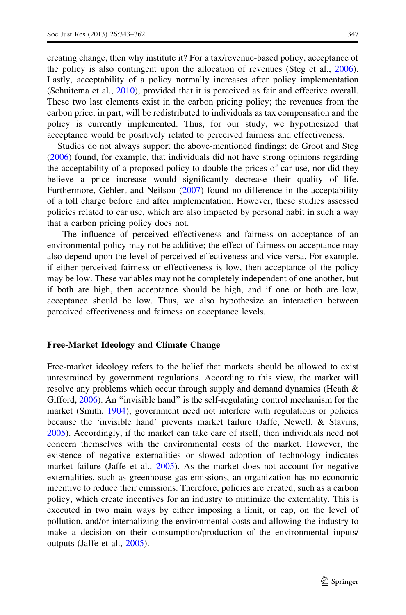creating change, then why institute it? For a tax/revenue-based policy, acceptance of the policy is also contingent upon the allocation of revenues (Steg et al., [2006\)](#page-18-0). Lastly, acceptability of a policy normally increases after policy implementation (Schuitema et al., [2010\)](#page-18-0), provided that it is perceived as fair and effective overall. These two last elements exist in the carbon pricing policy; the revenues from the carbon price, in part, will be redistributed to individuals as tax compensation and the policy is currently implemented. Thus, for our study, we hypothesized that acceptance would be positively related to perceived fairness and effectiveness.

Studies do not always support the above-mentioned findings; de Groot and Steg [\(2006](#page-17-0)) found, for example, that individuals did not have strong opinions regarding the acceptability of a proposed policy to double the prices of car use, nor did they believe a price increase would significantly decrease their quality of life. Furthermore, Gehlert and Neilson [\(2007](#page-18-0)) found no difference in the acceptability of a toll charge before and after implementation. However, these studies assessed policies related to car use, which are also impacted by personal habit in such a way that a carbon pricing policy does not.

The influence of perceived effectiveness and fairness on acceptance of an environmental policy may not be additive; the effect of fairness on acceptance may also depend upon the level of perceived effectiveness and vice versa. For example, if either perceived fairness or effectiveness is low, then acceptance of the policy may be low. These variables may not be completely independent of one another, but if both are high, then acceptance should be high, and if one or both are low, acceptance should be low. Thus, we also hypothesize an interaction between perceived effectiveness and fairness on acceptance levels.

#### Free-Market Ideology and Climate Change

Free-market ideology refers to the belief that markets should be allowed to exist unrestrained by government regulations. According to this view, the market will resolve any problems which occur through supply and demand dynamics (Heath & Gifford, [2006\)](#page-18-0). An ''invisible hand'' is the self-regulating control mechanism for the market (Smith, [1904](#page-18-0)); government need not interfere with regulations or policies because the 'invisible hand' prevents market failure (Jaffe, Newell, & Stavins, [2005\)](#page-18-0). Accordingly, if the market can take care of itself, then individuals need not concern themselves with the environmental costs of the market. However, the existence of negative externalities or slowed adoption of technology indicates market failure (Jaffe et al., [2005\)](#page-18-0). As the market does not account for negative externalities, such as greenhouse gas emissions, an organization has no economic incentive to reduce their emissions. Therefore, policies are created, such as a carbon policy, which create incentives for an industry to minimize the externality. This is executed in two main ways by either imposing a limit, or cap, on the level of pollution, and/or internalizing the environmental costs and allowing the industry to make a decision on their consumption/production of the environmental inputs/ outputs (Jaffe et al., [2005](#page-18-0)).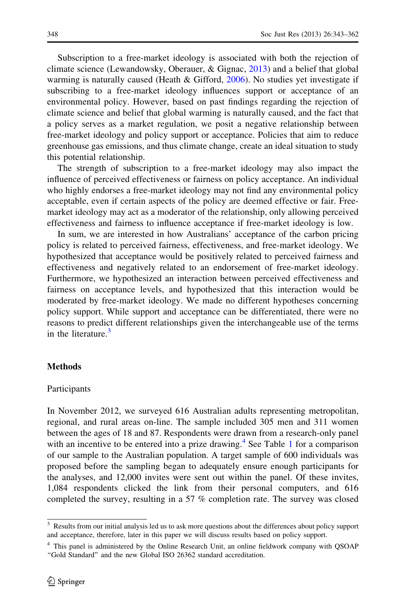Subscription to a free-market ideology is associated with both the rejection of climate science (Lewandowsky, Oberauer, & Gignac, [2013](#page-18-0)) and a belief that global warming is naturally caused (Heath & Gifford, [2006](#page-18-0)). No studies yet investigate if subscribing to a free-market ideology influences support or acceptance of an environmental policy. However, based on past findings regarding the rejection of climate science and belief that global warming is naturally caused, and the fact that a policy serves as a market regulation, we posit a negative relationship between free-market ideology and policy support or acceptance. Policies that aim to reduce greenhouse gas emissions, and thus climate change, create an ideal situation to study this potential relationship.

The strength of subscription to a free-market ideology may also impact the influence of perceived effectiveness or fairness on policy acceptance. An individual who highly endorses a free-market ideology may not find any environmental policy acceptable, even if certain aspects of the policy are deemed effective or fair. Freemarket ideology may act as a moderator of the relationship, only allowing perceived effectiveness and fairness to influence acceptance if free-market ideology is low.

In sum, we are interested in how Australians' acceptance of the carbon pricing policy is related to perceived fairness, effectiveness, and free-market ideology. We hypothesized that acceptance would be positively related to perceived fairness and effectiveness and negatively related to an endorsement of free-market ideology. Furthermore, we hypothesized an interaction between perceived effectiveness and fairness on acceptance levels, and hypothesized that this interaction would be moderated by free-market ideology. We made no different hypotheses concerning policy support. While support and acceptance can be differentiated, there were no reasons to predict different relationships given the interchangeable use of the terms in the literature.<sup>3</sup>

#### Methods

#### Participants

In November 2012, we surveyed 616 Australian adults representing metropolitan, regional, and rural areas on-line. The sample included 305 men and 311 women between the ages of 18 and 87. Respondents were drawn from a research-only panel with an incentive to be entered into a prize drawing.<sup>4</sup> See Table [1](#page-6-0) for a comparison of our sample to the Australian population. A target sample of 600 individuals was proposed before the sampling began to adequately ensure enough participants for the analyses, and 12,000 invites were sent out within the panel. Of these invites, 1,084 respondents clicked the link from their personal computers, and 616 completed the survey, resulting in a 57 % completion rate. The survey was closed

<sup>&</sup>lt;sup>3</sup> Results from our initial analysis led us to ask more questions about the differences about policy support and acceptance, therefore, later in this paper we will discuss results based on policy support.

<sup>4</sup> This panel is administered by the Online Research Unit, an online fieldwork company with QSOAP ''Gold Standard'' and the new Global ISO 26362 standard accreditation.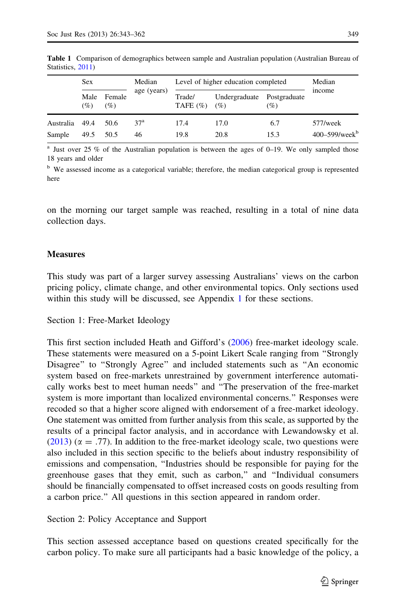|           | <b>Sex</b>  |               | Median          |                        | Level of higher education completed |                     | Median                       |
|-----------|-------------|---------------|-----------------|------------------------|-------------------------------------|---------------------|------------------------------|
|           | Male<br>(%) | Female<br>(%) | age (years)     | Trade/<br>TAFE $(\% )$ | Undergraduate<br>(%)                | Postgraduate<br>(%) | income                       |
| Australia | 49.4        | 50.6          | 37 <sup>a</sup> | 17.4                   | 17.0                                | 6.7                 | 577/week                     |
| Sample    | 49.5        | 50.5          | 46              | 19.8                   | 20.8                                | 15.3                | $400 - 599$ /week $^{\rm b}$ |

<span id="page-6-0"></span>Table 1 Comparison of demographics between sample and Australian population (Australian Bureau of Statistics, [2011](#page-17-0))

<sup>a</sup> Just over 25 % of the Australian population is between the ages of 0–19. We only sampled those 18 years and older

<sup>b</sup> We assessed income as a categorical variable; therefore, the median categorical group is represented here

on the morning our target sample was reached, resulting in a total of nine data collection days.

# **Measures**

This study was part of a larger survey assessing Australians' views on the carbon pricing policy, climate change, and other environmental topics. Only sections used within this study will be discussed, see Appendix [1](#page-15-0) for these sections.

Section 1: Free-Market Ideology

This first section included Heath and Gifford's [\(2006](#page-18-0)) free-market ideology scale. These statements were measured on a 5-point Likert Scale ranging from ''Strongly Disagree'' to ''Strongly Agree'' and included statements such as ''An economic system based on free-markets unrestrained by government interference automatically works best to meet human needs'' and ''The preservation of the free-market system is more important than localized environmental concerns.'' Responses were recoded so that a higher score aligned with endorsement of a free-market ideology. One statement was omitted from further analysis from this scale, as supported by the results of a principal factor analysis, and in accordance with Lewandowsky et al.  $(2013)$  $(2013)$  ( $\alpha = .77$ ). In addition to the free-market ideology scale, two questions were also included in this section specific to the beliefs about industry responsibility of emissions and compensation, ''Industries should be responsible for paying for the greenhouse gases that they emit, such as carbon,'' and ''Individual consumers should be financially compensated to offset increased costs on goods resulting from a carbon price.'' All questions in this section appeared in random order.

Section 2: Policy Acceptance and Support

This section assessed acceptance based on questions created specifically for the carbon policy. To make sure all participants had a basic knowledge of the policy, a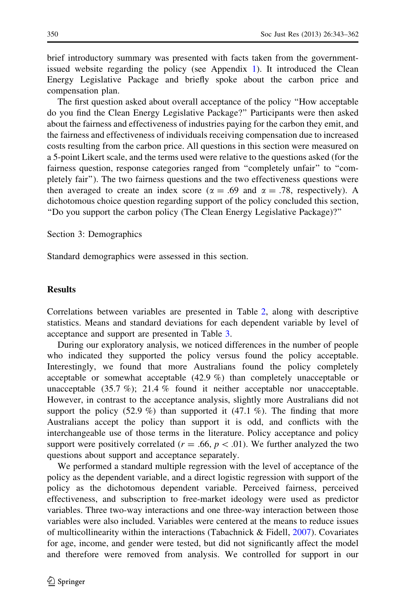brief introductory summary was presented with facts taken from the governmentissued website regarding the policy (see Appendix [1\)](#page-15-0). It introduced the Clean Energy Legislative Package and briefly spoke about the carbon price and compensation plan.

The first question asked about overall acceptance of the policy ''How acceptable do you find the Clean Energy Legislative Package?'' Participants were then asked about the fairness and effectiveness of industries paying for the carbon they emit, and the fairness and effectiveness of individuals receiving compensation due to increased costs resulting from the carbon price. All questions in this section were measured on a 5-point Likert scale, and the terms used were relative to the questions asked (for the fairness question, response categories ranged from ''completely unfair'' to ''completely fair''). The two fairness questions and the two effectiveness questions were then averaged to create an index score ( $\alpha = .69$  and  $\alpha = .78$ , respectively). A dichotomous choice question regarding support of the policy concluded this section, ''Do you support the carbon policy (The Clean Energy Legislative Package)?''

#### Section 3: Demographics

Standard demographics were assessed in this section.

#### **Results**

Correlations between variables are presented in Table [2,](#page-8-0) along with descriptive statistics. Means and standard deviations for each dependent variable by level of acceptance and support are presented in Table [3.](#page-9-0)

During our exploratory analysis, we noticed differences in the number of people who indicated they supported the policy versus found the policy acceptable. Interestingly, we found that more Australians found the policy completely acceptable or somewhat acceptable (42.9 %) than completely unacceptable or unacceptable  $(35.7 \%)$ ; 21.4 % found it neither acceptable nor unacceptable. However, in contrast to the acceptance analysis, slightly more Australians did not support the policy  $(52.9\%)$  than supported it  $(47.1\%)$ . The finding that more Australians accept the policy than support it is odd, and conflicts with the interchangeable use of those terms in the literature. Policy acceptance and policy support were positively correlated ( $r = .66$ ,  $p < .01$ ). We further analyzed the two questions about support and acceptance separately.

We performed a standard multiple regression with the level of acceptance of the policy as the dependent variable, and a direct logistic regression with support of the policy as the dichotomous dependent variable. Perceived fairness, perceived effectiveness, and subscription to free-market ideology were used as predictor variables. Three two-way interactions and one three-way interaction between those variables were also included. Variables were centered at the means to reduce issues of multicollinearity within the interactions (Tabachnick & Fidell, [2007\)](#page-18-0). Covariates for age, income, and gender were tested, but did not significantly affect the model and therefore were removed from analysis. We controlled for support in our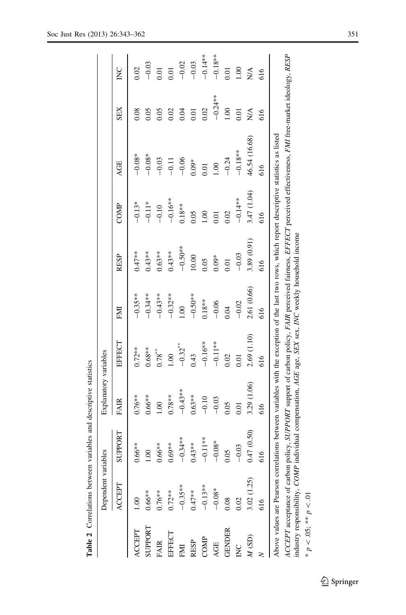<span id="page-8-0"></span>

|             | Dependent vari                | iables                                                                                                                                         | Explanatory variables |                                                                        |             |             |             |                                                                                                                                   |                   |           |
|-------------|-------------------------------|------------------------------------------------------------------------------------------------------------------------------------------------|-----------------------|------------------------------------------------------------------------|-------------|-------------|-------------|-----------------------------------------------------------------------------------------------------------------------------------|-------------------|-----------|
|             | ACCEPT                        | SUPPORT                                                                                                                                        | <b>FAIR</b>           | EFFECT                                                                 | EMI         | <b>RESP</b> | COMP        | <b>AGE</b>                                                                                                                        | <b>SEX</b>        | INC       |
| ACCEPT      | 00.1                          | $0.66***$                                                                                                                                      | $0.76***$             | $0.72***$                                                              | $-0.35**$   | $0.47**$    | $-0.13*$    | $-0.08*$                                                                                                                          | 0.08              | 0.02      |
| SUPPORT     | $0.66**$                      | 001                                                                                                                                            | $0.66**$              | $0.68***$                                                              | $-0.34**$   | $0.43**$    | $-0.11*$    | $-0.08*$                                                                                                                          | 0.05              | $-0.03$   |
| <b>FAIR</b> | $0.76***$                     | $0.66**$                                                                                                                                       | 00.1                  | $0.78***$                                                              | $-0.43**$   | $0.63**$    | $-0.10$     | $-0.03$                                                                                                                           | 0.05              | 0.01      |
| EFFECT      | $0.72**$                      | $0.69**$                                                                                                                                       | $0.78***$             | 00.1                                                                   | $-0.32**$   | $0.43***$   | $-0.16**$   | $-0.11$                                                                                                                           | 0.02              | 0.01      |
| EMI         | $-0.35**$                     | $-0.34**$                                                                                                                                      | $-0.43**$             | $-0.32$ <sup>**</sup>                                                  | 1.00        | $-0.50**$   | $0.18**$    | $-0.06$                                                                                                                           | 0.04              | $-0.02$   |
| <b>RESP</b> | $0.47**$                      | $0.43**$                                                                                                                                       | $0.63**$              | 0.43                                                                   | $-0.50**$   | 10.00       | 0.05        | $0.09*$                                                                                                                           | $\overline{0.01}$ | $-0.03$   |
| COMP        | $-0.13**$                     | $-0.11**$                                                                                                                                      | $-0.10$               | $-0.16**$                                                              | $0.18**$    | 0.05        | 00.1        | 0.01                                                                                                                              | 0.02              | $-0.14**$ |
| AGE         | $-0.08*$                      | $-0.08*$                                                                                                                                       | $-0.03$               | $-0.11**$                                                              | $-0.06$     | $0.09*$     | 0.01        | 00.1                                                                                                                              | $-0.24$           | $-0.18**$ |
| GENDER      | 0.08                          | 0.05                                                                                                                                           | 0.05                  | 0.02                                                                   | 0.04        | 0.01        | 0.02        | $-0.24$                                                                                                                           | 1.00              | 0.01      |
| INC         | 0.02                          | $-0.03$                                                                                                                                        | 0.01                  | 0.01                                                                   | $-0.02$     | $-0.03$     | $-0.14**$   | $-0.18**$                                                                                                                         | 0.01              | 1.00      |
| M(SD)       | 3.02(1.25)                    | 0.47(0.50)                                                                                                                                     | 3.29 (1.06)           | 2.69 (1.10)                                                            | 2.61 (0.66) | 3.89 (0.91) | 3.47 (1.04) | 46.54 (16.68)                                                                                                                     | ≿⁄                | N/A       |
|             | 616                           | 616                                                                                                                                            | 616                   | 616                                                                    | 616         | 616         | 616         | 616                                                                                                                               | 616               | 616       |
|             | ACCEPT acceptance of carbon   | Above values are Pearson correlations between variables with the exception of the last two rows, which report descriptive statistics as listed |                       |                                                                        |             |             |             | policy, SUPPORT support of carbon policy, FAIR perceived fairness, EFFECT perceived effectiveness, FMI free-market ideology, RESP |                   |           |
|             | industry responsibility, COMP |                                                                                                                                                |                       | individual compensation, AGE age, SEX sex, INC weekly household income |             |             |             |                                                                                                                                   |                   |           |

 $\underline{\textcircled{\tiny 2}}$  Springer

 $*$   $p$   $<$  .05;  $*$   $*$   $p$   $<$  .01  $\,$ \*  $p \lt .05;$  \*\*  $p \lt .01$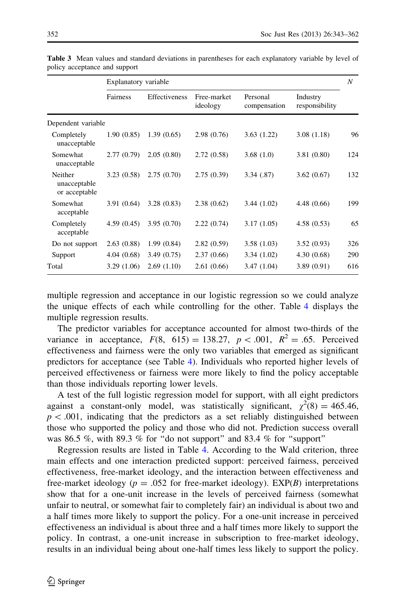|                                          | Explanatory variable |                      |                         |                          |                            | N   |
|------------------------------------------|----------------------|----------------------|-------------------------|--------------------------|----------------------------|-----|
|                                          | Fairness             | <b>Effectiveness</b> | Free-market<br>ideology | Personal<br>compensation | Industry<br>responsibility |     |
| Dependent variable                       |                      |                      |                         |                          |                            |     |
| Completely<br>unacceptable               | 1.90(0.85)           | 1.39(0.65)           | 2.98(0.76)              | 3.63(1.22)               | 3.08(1.18)                 | 96  |
| Somewhat<br>unacceptable                 | 2.77(0.79)           | 2.05(0.80)           | 2.72(0.58)              | 3.68(1.0)                | 3.81(0.80)                 | 124 |
| Neither<br>unacceptable<br>or acceptable | 3.23(0.58)           | 2.75(0.70)           | 2.75(0.39)              | 3.34(.87)                | 3.62(0.67)                 | 132 |
| Somewhat<br>acceptable                   | 3.91 (0.64)          | 3.28(0.83)           | 2.38(0.62)              | 3.44(1.02)               | 4.48(0.66)                 | 199 |
| Completely<br>acceptable                 | 4.59(0.45)           | 3.95(0.70)           | 2.22(0.74)              | 3.17(1.05)               | 4.58(0.53)                 | 65  |
| Do not support                           | 2.63(0.88)           | 1.99(0.84)           | 2.82(0.59)              | 3.58(1.03)               | 3.52(0.93)                 | 326 |
| Support                                  | 4.04(0.68)           | 3.49(0.75)           | 2.37(0.66)              | 3.34(1.02)               | 4.30(0.68)                 | 290 |
| Total                                    | 3.29(1.06)           | 2.69(1.10)           | 2.61(0.66)              | 3.47(1.04)               | 3.89(0.91)                 | 616 |

<span id="page-9-0"></span>Table 3 Mean values and standard deviations in parentheses for each explanatory variable by level of policy acceptance and support

multiple regression and acceptance in our logistic regression so we could analyze the unique effects of each while controlling for the other. Table [4](#page-10-0) displays the multiple regression results.

The predictor variables for acceptance accounted for almost two-thirds of the variance in acceptance,  $F(8, 615) = 138.27, p < .001, R^2 = .65$ . Perceived effectiveness and fairness were the only two variables that emerged as significant predictors for acceptance (see Table [4](#page-10-0)). Individuals who reported higher levels of perceived effectiveness or fairness were more likely to find the policy acceptable than those individuals reporting lower levels.

A test of the full logistic regression model for support, with all eight predictors against a constant-only model, was statistically significant,  $\chi^2(8) = 465.46$ ,  $p$  < 0.001, indicating that the predictors as a set reliably distinguished between those who supported the policy and those who did not. Prediction success overall was 86.5 %, with 89.3 % for "do not support" and 83.4 % for "support"

Regression results are listed in Table [4.](#page-10-0) According to the Wald criterion, three main effects and one interaction predicted support: perceived fairness, perceived effectiveness, free-market ideology, and the interaction between effectiveness and free-market ideology ( $p = .052$  for free-market ideology). EXP(B) interpretations show that for a one-unit increase in the levels of perceived fairness (somewhat unfair to neutral, or somewhat fair to completely fair) an individual is about two and a half times more likely to support the policy. For a one-unit increase in perceived effectiveness an individual is about three and a half times more likely to support the policy. In contrast, a one-unit increase in subscription to free-market ideology, results in an individual being about one-half times less likely to support the policy.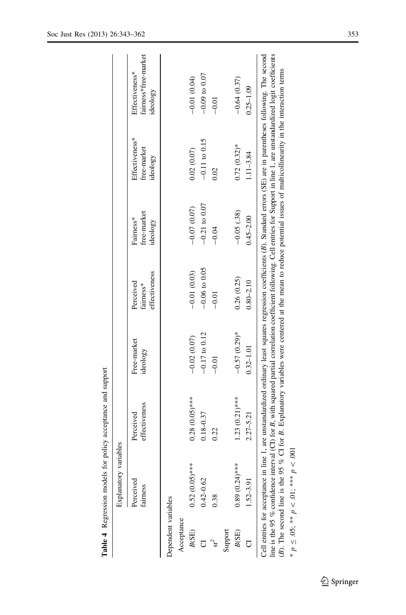<span id="page-10-0"></span>

|                                                    | Explanatory variables                         |                                                                                                                                      |                         |                                         |                                      |                                           |                                                                                                                                                                                                                                                                                                                                                                   |
|----------------------------------------------------|-----------------------------------------------|--------------------------------------------------------------------------------------------------------------------------------------|-------------------------|-----------------------------------------|--------------------------------------|-------------------------------------------|-------------------------------------------------------------------------------------------------------------------------------------------------------------------------------------------------------------------------------------------------------------------------------------------------------------------------------------------------------------------|
|                                                    | Perceived<br>fairness                         | effectiveness<br>Perceived                                                                                                           | Free-market<br>ideology | effectiveness<br>Perceived<br>fairness* | free-market<br>Fairness*<br>ideology | Effectiveness*<br>free-market<br>ideology | faimess*free-market<br>Effectiveness*<br>ideology                                                                                                                                                                                                                                                                                                                 |
| Dependent variables                                |                                               |                                                                                                                                      |                         |                                         |                                      |                                           |                                                                                                                                                                                                                                                                                                                                                                   |
| Acceptance                                         |                                               |                                                                                                                                      |                         |                                         |                                      |                                           |                                                                                                                                                                                                                                                                                                                                                                   |
| B(SE)                                              | $0.52(0.05)$ ***                              | $0.28(0.05)$ ***                                                                                                                     | $-0.02(0.07)$           | $-0.01(0.03)$                           | $-0.07(0.07)$                        | 0.02(0.07)                                | $-0.01(0.04)$                                                                                                                                                                                                                                                                                                                                                     |
|                                                    | $0.42 - 0.62$                                 | $0.18 - 0.37$                                                                                                                        | $-0.17$ to 0.12         | $-0.06$ to 0.05                         | $-0.21$ to 0.07                      | $-0.11$ to 0.15                           | $-0.09$ to 0.07                                                                                                                                                                                                                                                                                                                                                   |
| $\operatorname{sr}^{\scriptscriptstyle\mathsf{c}}$ | 0.38                                          | 0.22                                                                                                                                 | $-0.01$                 | $-0.01$                                 | $-0.04$                              | 0.02                                      | $-0.01$                                                                                                                                                                                                                                                                                                                                                           |
| Support                                            |                                               |                                                                                                                                      |                         |                                         |                                      |                                           |                                                                                                                                                                                                                                                                                                                                                                   |
| B(SE)                                              | $0.89(0.24)$ ***                              | $1.23(0.21)$ ***                                                                                                                     | $-0.57(0.29)$ *         | 0.26(0.25)                              | $-0.05(0.38)$                        | $0.72(0.32)$ *                            | $-0.64(0.37)$                                                                                                                                                                                                                                                                                                                                                     |
|                                                    | $1.52 - 3.91$                                 | $2.27 - 5.21$                                                                                                                        | $0.32 - 1.01$           | $0.80 - 2.10$                           | $0.45 - 2.00$                        | $1.11 - 3.84$                             | $0.25 - 1.09$                                                                                                                                                                                                                                                                                                                                                     |
|                                                    | $(B)$ . The second line is the 95             | % CI for B. Explanatory variables were centered at the mean to reduce potential issues of multicollinearity in the interaction terms |                         |                                         |                                      |                                           | line is the 95 % confidence interval (CI) for B, with squared partial correlation coefficient following. Cell entries for Support in line 1, are unstandardized logit coefficients<br>Cell entries for acceptance in line 1, are unstandardized ordinary least squares regression coefficients (B). Standard errors (SE) are in parentheses following. The second |
|                                                    | * $p \le .05$ ; ** $p < .01$ ; *** $p < .001$ |                                                                                                                                      |                         |                                         |                                      |                                           |                                                                                                                                                                                                                                                                                                                                                                   |

Table 4 Regression models for policy acceptance and support

Table 4 Regression models for policy acceptance and support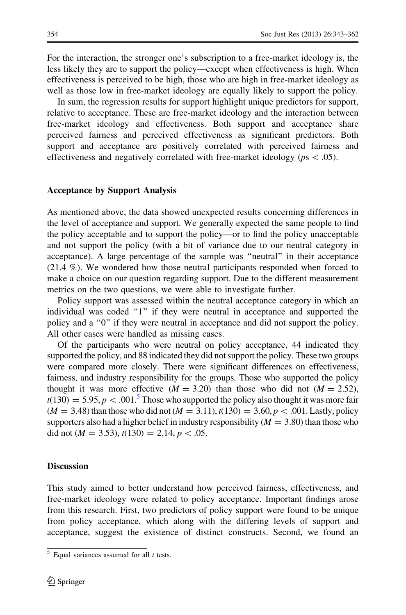For the interaction, the stronger one's subscription to a free-market ideology is, the less likely they are to support the policy—except when effectiveness is high. When effectiveness is perceived to be high, those who are high in free-market ideology as well as those low in free-market ideology are equally likely to support the policy.

In sum, the regression results for support highlight unique predictors for support, relative to acceptance. These are free-market ideology and the interaction between free-market ideology and effectiveness. Both support and acceptance share perceived fairness and perceived effectiveness as significant predictors. Both support and acceptance are positively correlated with perceived fairness and effectiveness and negatively correlated with free-market ideology ( $ps < .05$ ).

#### Acceptance by Support Analysis

As mentioned above, the data showed unexpected results concerning differences in the level of acceptance and support. We generally expected the same people to find the policy acceptable and to support the policy—or to find the policy unacceptable and not support the policy (with a bit of variance due to our neutral category in acceptance). A large percentage of the sample was ''neutral'' in their acceptance (21.4 %). We wondered how those neutral participants responded when forced to make a choice on our question regarding support. Due to the different measurement metrics on the two questions, we were able to investigate further.

Policy support was assessed within the neutral acceptance category in which an individual was coded "1" if they were neutral in acceptance and supported the policy and a ''0'' if they were neutral in acceptance and did not support the policy. All other cases were handled as missing cases.

Of the participants who were neutral on policy acceptance, 44 indicated they supported the policy, and 88 indicated they did not support the policy. These two groups were compared more closely. There were significant differences on effectiveness, fairness, and industry responsibility for the groups. Those who supported the policy thought it was more effective  $(M = 3.20)$  than those who did not  $(M = 2.52)$ ,  $t(130) = 5.95, p < .001<sup>5</sup>$  Those who supported the policy also thought it was more fair  $(M = 3.48)$  than those who did not  $(M = 3.11)$ ,  $t(130) = 3.60$ ,  $p < .001$ . Lastly, policy supporters also had a higher belief in industry responsibility ( $M = 3.80$ ) than those who did not ( $M = 3.53$ ),  $t(130) = 2.14$ ,  $p < .05$ .

## **Discussion**

This study aimed to better understand how perceived fairness, effectiveness, and free-market ideology were related to policy acceptance. Important findings arose from this research. First, two predictors of policy support were found to be unique from policy acceptance, which along with the differing levels of support and acceptance, suggest the existence of distinct constructs. Second, we found an

 $<sup>5</sup>$  Equal variances assumed for all t tests.</sup>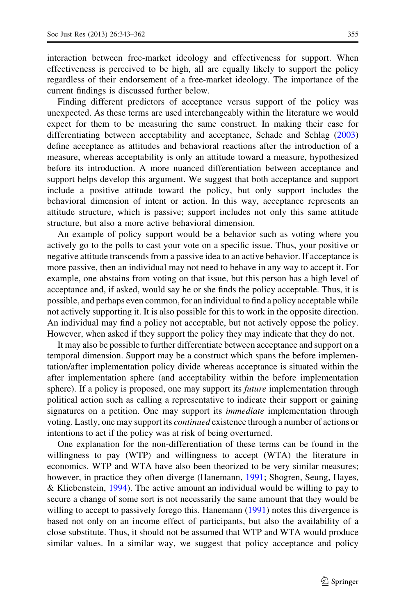interaction between free-market ideology and effectiveness for support. When effectiveness is perceived to be high, all are equally likely to support the policy regardless of their endorsement of a free-market ideology. The importance of the current findings is discussed further below.

Finding different predictors of acceptance versus support of the policy was unexpected. As these terms are used interchangeably within the literature we would expect for them to be measuring the same construct. In making their case for differentiating between acceptability and acceptance, Schade and Schlag [\(2003](#page-18-0)) define acceptance as attitudes and behavioral reactions after the introduction of a measure, whereas acceptability is only an attitude toward a measure, hypothesized before its introduction. A more nuanced differentiation between acceptance and support helps develop this argument. We suggest that both acceptance and support include a positive attitude toward the policy, but only support includes the behavioral dimension of intent or action. In this way, acceptance represents an attitude structure, which is passive; support includes not only this same attitude structure, but also a more active behavioral dimension.

An example of policy support would be a behavior such as voting where you actively go to the polls to cast your vote on a specific issue. Thus, your positive or negative attitude transcends from a passive idea to an active behavior. If acceptance is more passive, then an individual may not need to behave in any way to accept it. For example, one abstains from voting on that issue, but this person has a high level of acceptance and, if asked, would say he or she finds the policy acceptable. Thus, it is possible, and perhaps even common, for an individual to find a policy acceptable while not actively supporting it. It is also possible for this to work in the opposite direction. An individual may find a policy not acceptable, but not actively oppose the policy. However, when asked if they support the policy they may indicate that they do not.

It may also be possible to further differentiate between acceptance and support on a temporal dimension. Support may be a construct which spans the before implementation/after implementation policy divide whereas acceptance is situated within the after implementation sphere (and acceptability within the before implementation sphere). If a policy is proposed, one may support its *future* implementation through political action such as calling a representative to indicate their support or gaining signatures on a petition. One may support its *immediate* implementation through voting. Lastly, one may support its continued existence through a number of actions or intentions to act if the policy was at risk of being overturned.

One explanation for the non-differentiation of these terms can be found in the willingness to pay (WTP) and willingness to accept (WTA) the literature in economics. WTP and WTA have also been theorized to be very similar measures; however, in practice they often diverge (Hanemann, [1991;](#page-18-0) Shogren, Seung, Hayes, & Kliebenstein, [1994\)](#page-18-0). The active amount an individual would be willing to pay to secure a change of some sort is not necessarily the same amount that they would be willing to accept to passively forego this. Hanemann [\(1991](#page-18-0)) notes this divergence is based not only on an income effect of participants, but also the availability of a close substitute. Thus, it should not be assumed that WTP and WTA would produce similar values. In a similar way, we suggest that policy acceptance and policy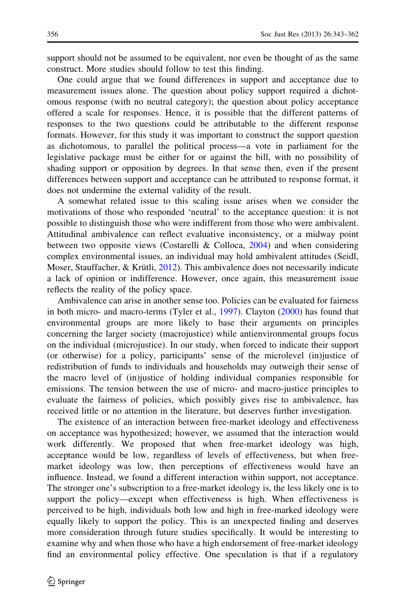support should not be assumed to be equivalent, nor even be thought of as the same construct. More studies should follow to test this finding.

One could argue that we found differences in support and acceptance due to measurement issues alone. The question about policy support required a dichotomous response (with no neutral category); the question about policy acceptance offered a scale for responses. Hence, it is possible that the different patterns of responses to the two questions could be attributable to the different response formats. However, for this study it was important to construct the support question as dichotomous, to parallel the political process—a vote in parliament for the legislative package must be either for or against the bill, with no possibility of shading support or opposition by degrees. In that sense then, even if the present differences between support and acceptance can be attributed to response format, it does not undermine the external validity of the result.

A somewhat related issue to this scaling issue arises when we consider the motivations of those who responded 'neutral' to the acceptance question: it is not possible to distinguish those who were indifferent from those who were ambivalent. Attitudinal ambivalence can reflect evaluative inconsistency, or a midway point between two opposite views (Costarelli & Colloca,  $2004$ ) and when considering complex environmental issues, an individual may hold ambivalent attitudes (Seidl, Moser, Stauffacher, & Krütli,  $2012$ ). This ambivalence does not necessarily indicate a lack of opinion or indifference. However, once again, this measurement issue reflects the reality of the policy space.

Ambivalence can arise in another sense too. Policies can be evaluated for fairness in both micro- and macro-terms (Tyler et al., [1997](#page-19-0)). Clayton [\(2000](#page-17-0)) has found that environmental groups are more likely to base their arguments on principles concerning the larger society (macrojustice) while antienvironmental groups focus on the individual (microjustice). In our study, when forced to indicate their support (or otherwise) for a policy, participants' sense of the microlevel (in)justice of redistribution of funds to individuals and households may outweigh their sense of the macro level of (in)justice of holding individual companies responsible for emissions. The tension between the use of micro- and macro-justice principles to evaluate the fairness of policies, which possibly gives rise to ambivalence, has received little or no attention in the literature, but deserves further investigation.

The existence of an interaction between free-market ideology and effectiveness on acceptance was hypothesized; however, we assumed that the interaction would work differently. We proposed that when free-market ideology was high, acceptance would be low, regardless of levels of effectiveness, but when freemarket ideology was low, then perceptions of effectiveness would have an influence. Instead, we found a different interaction within support, not acceptance. The stronger one's subscription to a free-market ideology is, the less likely one is to support the policy—except when effectiveness is high. When effectiveness is perceived to be high, individuals both low and high in free-marked ideology were equally likely to support the policy. This is an unexpected finding and deserves more consideration through future studies specifically. It would be interesting to examine why and when those who have a high endorsement of free-market ideology find an environmental policy effective. One speculation is that if a regulatory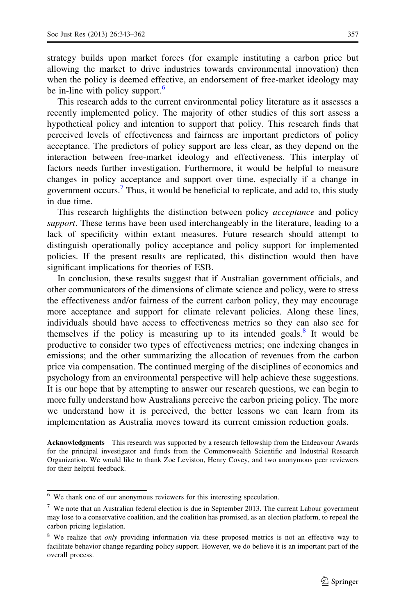strategy builds upon market forces (for example instituting a carbon price but allowing the market to drive industries towards environmental innovation) then when the policy is deemed effective, an endorsement of free-market ideology may be in-line with policy support.<sup>6</sup>

This research adds to the current environmental policy literature as it assesses a recently implemented policy. The majority of other studies of this sort assess a hypothetical policy and intention to support that policy. This research finds that perceived levels of effectiveness and fairness are important predictors of policy acceptance. The predictors of policy support are less clear, as they depend on the interaction between free-market ideology and effectiveness. This interplay of factors needs further investigation. Furthermore, it would be helpful to measure changes in policy acceptance and support over time, especially if a change in government occurs.<sup>7</sup> Thus, it would be beneficial to replicate, and add to, this study in due time.

This research highlights the distinction between policy *acceptance* and policy support. These terms have been used interchangeably in the literature, leading to a lack of specificity within extant measures. Future research should attempt to distinguish operationally policy acceptance and policy support for implemented policies. If the present results are replicated, this distinction would then have significant implications for theories of ESB.

In conclusion, these results suggest that if Australian government officials, and other communicators of the dimensions of climate science and policy, were to stress the effectiveness and/or fairness of the current carbon policy, they may encourage more acceptance and support for climate relevant policies. Along these lines, individuals should have access to effectiveness metrics so they can also see for themselves if the policy is measuring up to its intended goals.<sup>8</sup> It would be productive to consider two types of effectiveness metrics; one indexing changes in emissions; and the other summarizing the allocation of revenues from the carbon price via compensation. The continued merging of the disciplines of economics and psychology from an environmental perspective will help achieve these suggestions. It is our hope that by attempting to answer our research questions, we can begin to more fully understand how Australians perceive the carbon pricing policy. The more we understand how it is perceived, the better lessons we can learn from its implementation as Australia moves toward its current emission reduction goals.

Acknowledgments This research was supported by a research fellowship from the Endeavour Awards for the principal investigator and funds from the Commonwealth Scientific and Industrial Research Organization. We would like to thank Zoe Leviston, Henry Covey, and two anonymous peer reviewers for their helpful feedback.

<sup>&</sup>lt;sup>6</sup> We thank one of our anonymous reviewers for this interesting speculation.

 $7$  We note that an Australian federal election is due in September 2013. The current Labour government may lose to a conservative coalition, and the coalition has promised, as an election platform, to repeal the carbon pricing legislation.

<sup>&</sup>lt;sup>8</sup> We realize that only providing information via these proposed metrics is not an effective way to facilitate behavior change regarding policy support. However, we do believe it is an important part of the overall process.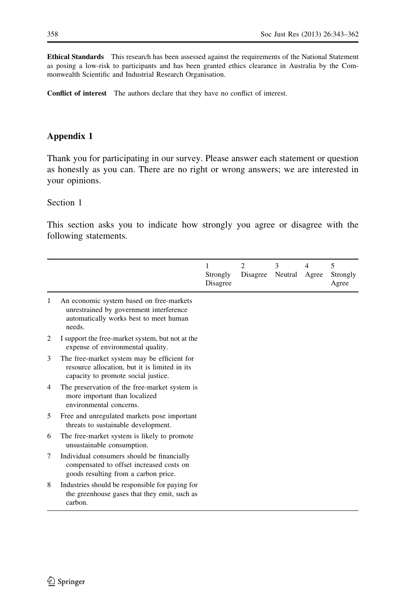<span id="page-15-0"></span>Ethical Standards This research has been assessed against the requirements of the National Statement as posing a low-risk to participants and has been granted ethics clearance in Australia by the Commonwealth Scientific and Industrial Research Organisation.

Conflict of interest The authors declare that they have no conflict of interest.

# Appendix 1

Thank you for participating in our survey. Please answer each statement or question as honestly as you can. There are no right or wrong answers; we are interested in your opinions.

# Section 1

This section asks you to indicate how strongly you agree or disagree with the following statements.

|   |                                                                                                                                         | 1<br>Strongly<br>Disagree | $\mathcal{D}_{\mathcal{L}}$<br>Disagree | $\mathbf{3}$<br>Neutral | 4<br>Agree | 5<br>Strongly<br>Agree |
|---|-----------------------------------------------------------------------------------------------------------------------------------------|---------------------------|-----------------------------------------|-------------------------|------------|------------------------|
| 1 | An economic system based on free-markets<br>unrestrained by government interference<br>automatically works best to meet human<br>needs. |                           |                                         |                         |            |                        |
| 2 | I support the free-market system, but not at the<br>expense of environmental quality.                                                   |                           |                                         |                         |            |                        |
| 3 | The free-market system may be efficient for<br>resource allocation, but it is limited in its<br>capacity to promote social justice.     |                           |                                         |                         |            |                        |
| 4 | The preservation of the free-market system is<br>more important than localized<br>environmental concerns.                               |                           |                                         |                         |            |                        |
| 5 | Free and unregulated markets pose important<br>threats to sustainable development.                                                      |                           |                                         |                         |            |                        |
| 6 | The free-market system is likely to promote<br>unsustainable consumption.                                                               |                           |                                         |                         |            |                        |
| 7 | Individual consumers should be financially<br>compensated to offset increased costs on<br>goods resulting from a carbon price.          |                           |                                         |                         |            |                        |
| 8 | Industries should be responsible for paying for<br>the greenhouse gases that they emit, such as<br>carbon.                              |                           |                                         |                         |            |                        |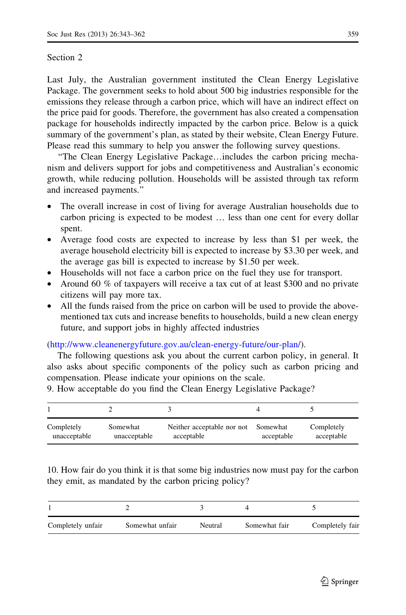### Section<sub>2</sub>

Last July, the Australian government instituted the Clean Energy Legislative Package. The government seeks to hold about 500 big industries responsible for the emissions they release through a carbon price, which will have an indirect effect on the price paid for goods. Therefore, the government has also created a compensation package for households indirectly impacted by the carbon price. Below is a quick summary of the government's plan, as stated by their website, Clean Energy Future. Please read this summary to help you answer the following survey questions.

''The Clean Energy Legislative Package…includes the carbon pricing mechanism and delivers support for jobs and competitiveness and Australian's economic growth, while reducing pollution. Households will be assisted through tax reform and increased payments.''

- The overall increase in cost of living for average Australian households due to carbon pricing is expected to be modest … less than one cent for every dollar spent.
- Average food costs are expected to increase by less than \$1 per week, the average household electricity bill is expected to increase by \$3.30 per week, and the average gas bill is expected to increase by \$1.50 per week.
- Households will not face a carbon price on the fuel they use for transport.
- Around 60 % of taxpayers will receive a tax cut of at least \$300 and no private citizens will pay more tax.
- All the funds raised from the price on carbon will be used to provide the abovementioned tax cuts and increase benefits to households, build a new clean energy future, and support jobs in highly affected industries

[\(http://www.cleanenergyfuture.gov.au/clean-energy-future/our-plan/\)](http://www.cleanenergyfuture.gov.au/clean-energy-future/our-plan/).

The following questions ask you about the current carbon policy, in general. It also asks about specific components of the policy such as carbon pricing and compensation. Please indicate your opinions on the scale.

9. How acceptable do you find the Clean Energy Legislative Package?

| Completely   | Somewhat     | Neither acceptable nor not | Somewhat   | Completely |
|--------------|--------------|----------------------------|------------|------------|
| unacceptable | unacceptable | acceptable                 | acceptable | acceptable |

10. How fair do you think it is that some big industries now must pay for the carbon they emit, as mandated by the carbon pricing policy?

| Completely unfair | Somewhat unfair | Neutral | Somewhat fair | Completely fair |
|-------------------|-----------------|---------|---------------|-----------------|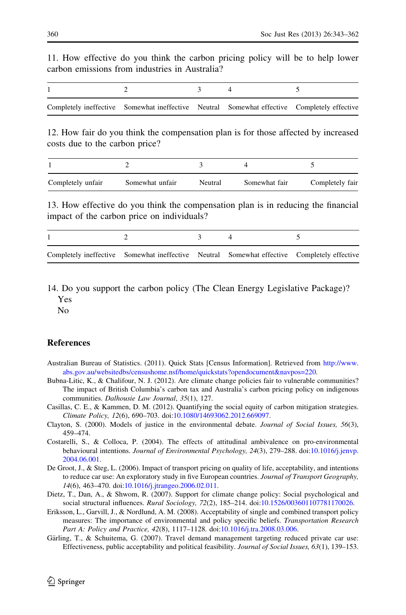<span id="page-17-0"></span>11. How effective do you think the carbon pricing policy will be to help lower carbon emissions from industries in Australia?

| Completely ineffective Somewhat ineffective Neutral Somewhat effective Completely effective |  |  |
|---------------------------------------------------------------------------------------------|--|--|

12. How fair do you think the compensation plan is for those affected by increased costs due to the carbon price?

| Completely unfair | Somewhat unfair | Neutral | Somewhat fair | Completely fair |
|-------------------|-----------------|---------|---------------|-----------------|

13. How effective do you think the compensation plan is in reducing the financial impact of the carbon price on individuals?

| Completely ineffective Somewhat ineffective Neutral Somewhat effective Completely effective |  |  |
|---------------------------------------------------------------------------------------------|--|--|

14. Do you support the carbon policy (The Clean Energy Legislative Package)? Yes

No

#### **References**

- Australian Bureau of Statistics. (2011). Quick Stats [Census Information]. Retrieved from [http://www.](http://www.abs.gov.au/websitedbs/censushome.nsf/home/quickstats?opendocument&navpos=220) [abs.gov.au/websitedbs/censushome.nsf/home/quickstats?opendocument&navpos=220](http://www.abs.gov.au/websitedbs/censushome.nsf/home/quickstats?opendocument&navpos=220).
- Bubna-Litic, K., & Chalifour, N. J. (2012). Are climate change policies fair to vulnerable communities? The impact of British Columbia's carbon tax and Australia's carbon pricing policy on indigenous communities. Dalhousie Law Journal, 35(1), 127.
- Casillas, C. E., & Kammen, D. M. (2012). Quantifying the social equity of carbon mitigation strategies. Climate Policy, 12(6), 690–703. doi:[10.1080/14693062.2012.669097](http://dx.doi.org/10.1080/14693062.2012.669097).
- Clayton, S. (2000). Models of justice in the environmental debate. Journal of Social Issues, 56(3), 459–474.
- Costarelli, S., & Colloca, P. (2004). The effects of attitudinal ambivalence on pro-environmental behavioural intentions. Journal of Environmental Psychology, 24(3), 279–288. doi[:10.1016/j.jenvp.](http://dx.doi.org/10.1016/j.jenvp.2004.06.001) [2004.06.001.](http://dx.doi.org/10.1016/j.jenvp.2004.06.001)
- De Groot, J., & Steg, L. (2006). Impact of transport pricing on quality of life, acceptability, and intentions to reduce car use: An exploratory study in five European countries. *Journal of Transport Geography*, 14(6), 463–470. doi:[10.1016/j.jtrangeo.2006.02.011.](http://dx.doi.org/10.1016/j.jtrangeo.2006.02.011)
- Dietz, T., Dan, A., & Shwom, R. (2007). Support for climate change policy: Social psychological and social structural influences. Rural Sociology, 72(2), 185-214. doi:[10.1526/003601107781170026](http://dx.doi.org/10.1526/003601107781170026).
- Eriksson, L., Garvill, J., & Nordlund, A. M. (2008). Acceptability of single and combined transport policy measures: The importance of environmental and policy specific beliefs. Transportation Research Part A: Policy and Practice, 42(8), 1117–1128. doi[:10.1016/j.tra.2008.03.006.](http://dx.doi.org/10.1016/j.tra.2008.03.006)
- Gärling, T., & Schuitema, G. (2007). Travel demand management targeting reduced private car use: Effectiveness, public acceptability and political feasibility. Journal of Social Issues, 63(1), 139–153.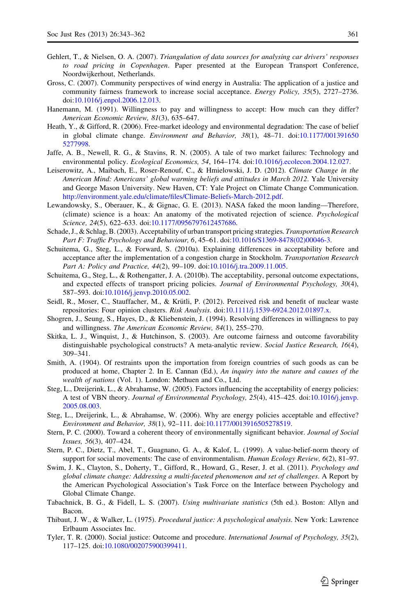- <span id="page-18-0"></span>Gehlert, T., & Nielsen, O. A. (2007). Triangulation of data sources for analysing car drivers' responses to road pricing in Copenhagen. Paper presented at the European Transport Conference, Noordwijkerhout, Netherlands.
- Gross, C. (2007). Community perspectives of wind energy in Australia: The application of a justice and community fairness framework to increase social acceptance. *Energy Policy, 35(5), 2727–2736*. doi[:10.1016/j.enpol.2006.12.013](http://dx.doi.org/10.1016/j.enpol.2006.12.013).
- Hanemann, M. (1991). Willingness to pay and willingness to accept: How much can they differ? American Economic Review, 81(3), 635–647.
- Heath, Y., & Gifford, R. (2006). Free-market ideology and environmental degradation: The case of belief in global climate change. Environment and Behavior, 38(1), 48–71. doi:[10.1177/001391650](http://dx.doi.org/10.1177/0013916505277998) [5277998.](http://dx.doi.org/10.1177/0013916505277998)
- Jaffe, A. B., Newell, R. G., & Stavins, R. N. (2005). A tale of two market failures: Technology and environmental policy. Ecological Economics, 54, 164–174. doi:[10.1016/j.ecolecon.2004.12.027](http://dx.doi.org/10.1016/j.ecolecon.2004.12.027).
- Leiserowitz, A., Maibach, E., Roser-Renouf, C., & Hmielowski, J. D. (2012). Climate Change in the American Mind: Americans' global warming beliefs and attitudes in March 2012. Yale University and George Mason University. New Haven, CT: Yale Project on Climate Change Communication. [http://environment.yale.edu/climate/files/Climate-Beliefs-March-2012.pdf.](http://environment.yale.edu/climate/files/Climate-Beliefs-March-2012.pdf)
- Lewandowsky, S., Oberauer, K., & Gignac, G. E. (2013). NASA faked the moon landing—Therefore, (climate) science is a hoax: An anatomy of the motivated rejection of science. Psychological Science, 24(5), 622-633. doi:[10.1177/0956797612457686](http://dx.doi.org/10.1177/0956797612457686).
- Schade, J., & Schlag, B. (2003). Acceptability of urban transport pricing strategies. Transportation Research Part F: Traffic Psychology and Behaviour, 6, 45–61. doi:[10.1016/S1369-8478\(02\)00046-3.](http://dx.doi.org/10.1016/S1369-8478(02)00046-3)
- Schuitema, G., Steg, L., & Forward, S. (2010a). Explaining differences in acceptability before and acceptance after the implementation of a congestion charge in Stockholm. Transportation Research Part A: Policy and Practice, 44(2), 99–109. doi[:10.1016/j.tra.2009.11.005.](http://dx.doi.org/10.1016/j.tra.2009.11.005)
- Schuitema, G., Steg, L., & Rothengatter, J. A. (2010b). The acceptability, personal outcome expectations, and expected effects of transport pricing policies. Journal of Environmental Psychology, 30(4), 587–593. doi:[10.1016/j.jenvp.2010.05.002.](http://dx.doi.org/10.1016/j.jenvp.2010.05.002)
- Seidl, R., Moser, C., Stauffacher, M., & Krütli, P. (2012). Perceived risk and benefit of nuclear waste repositories: Four opinion clusters. Risk Analysis. doi[:10.1111/j.1539-6924.2012.01897.x.](http://dx.doi.org/10.1111/j.1539-6924.2012.01897.x)
- Shogren, J., Seung, S., Hayes, D., & Kliebenstein, J. (1994). Resolving differences in willingness to pay and willingness. The American Economic Review, 84(1), 255–270.
- Skitka, L. J., Winquist, J., & Hutchinson, S. (2003). Are outcome fairness and outcome favorability distinguishable psychological constructs? A meta-analytic review. Social Justice Research, 16(4), 309–341.
- Smith, A. (1904). Of restraints upon the importation from foreign countries of such goods as can be produced at home, Chapter 2. In E. Cannan (Ed.), An inquiry into the nature and causes of the wealth of nations (Vol. 1). London: Methuen and Co., Ltd.
- Steg, L., Dreijerink, L., & Abrahamse, W. (2005). Factors influencing the acceptability of energy policies: A test of VBN theory. Journal of Environmental Psychology, 25(4), 415–425. doi[:10.1016/j.jenvp.](http://dx.doi.org/10.1016/j.jenvp.2005.08.003) [2005.08.003.](http://dx.doi.org/10.1016/j.jenvp.2005.08.003)
- Steg, L., Dreijerink, L., & Abrahamse, W. (2006). Why are energy policies acceptable and effective? Environment and Behavior, 38(1), 92–111. doi[:10.1177/0013916505278519.](http://dx.doi.org/10.1177/0013916505278519)
- Stern, P. C. (2000). Toward a coherent theory of environmentally significant behavior. Journal of Social Issues, 56(3), 407–424.
- Stern, P. C., Dietz, T., Abel, T., Guagnano, G. A., & Kalof, L. (1999). A value-belief-norm theory of support for social movements: The case of environmentalism. *Human Ecology Review*,  $6(2)$ , 81–97.
- Swim, J. K., Clayton, S., Doherty, T., Gifford, R., Howard, G., Reser, J. et al. (2011). Psychology and global climate change: Addressing a multi-faceted phenomenon and set of challenges. A Report by the American Psychological Association's Task Force on the Interface between Psychology and Global Climate Change.
- Tabachnick, B. G., & Fidell, L. S. (2007). Using multivariate statistics (5th ed.). Boston: Allyn and Bacon.
- Thibaut, J. W., & Walker, L. (1975). Procedural justice: A psychological analysis. New York: Lawrence Erlbaum Associates Inc.
- Tyler, T. R. (2000). Social justice: Outcome and procedure. International Journal of Psychology, 35(2), 117–125. doi:[10.1080/002075900399411.](http://dx.doi.org/10.1080/002075900399411)